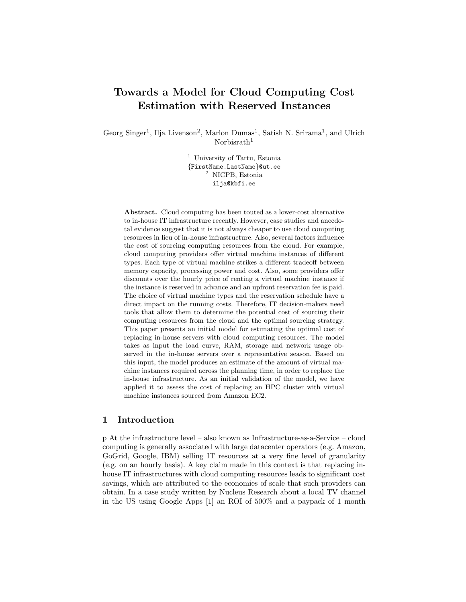# Towards a Model for Cloud Computing Cost Estimation with Reserved Instances

Georg Singer<sup>1</sup>, Ilja Livenson<sup>2</sup>, Marlon Dumas<sup>1</sup>, Satish N. Srirama<sup>1</sup>, and Ulrich Norbisrath $1$ 

> <sup>1</sup> University of Tartu, Estonia {FirstName.LastName}@ut.ee <sup>2</sup> NICPB, Estonia ilja@kbfi.ee

Abstract. Cloud computing has been touted as a lower-cost alternative to in-house IT infrastructure recently. However, case studies and anecdotal evidence suggest that it is not always cheaper to use cloud computing resources in lieu of in-house infrastructure. Also, several factors influence the cost of sourcing computing resources from the cloud. For example, cloud computing providers offer virtual machine instances of different types. Each type of virtual machine strikes a different tradeoff between memory capacity, processing power and cost. Also, some providers offer discounts over the hourly price of renting a virtual machine instance if the instance is reserved in advance and an upfront reservation fee is paid. The choice of virtual machine types and the reservation schedule have a direct impact on the running costs. Therefore, IT decision-makers need tools that allow them to determine the potential cost of sourcing their computing resources from the cloud and the optimal sourcing strategy. This paper presents an initial model for estimating the optimal cost of replacing in-house servers with cloud computing resources. The model takes as input the load curve, RAM, storage and network usage observed in the in-house servers over a representative season. Based on this input, the model produces an estimate of the amount of virtual machine instances required across the planning time, in order to replace the in-house infrastructure. As an initial validation of the model, we have applied it to assess the cost of replacing an HPC cluster with virtual machine instances sourced from Amazon EC2.

## 1 Introduction

p At the infrastructure level – also known as Infrastructure-as-a-Service – cloud computing is generally associated with large datacenter operators (e.g. Amazon, GoGrid, Google, IBM) selling IT resources at a very fine level of granularity (e.g. on an hourly basis). A key claim made in this context is that replacing inhouse IT infrastructures with cloud computing resources leads to significant cost savings, which are attributed to the economies of scale that such providers can obtain. In a case study written by Nucleus Research about a local TV channel in the US using Google Apps [1] an ROI of 500% and a paypack of 1 month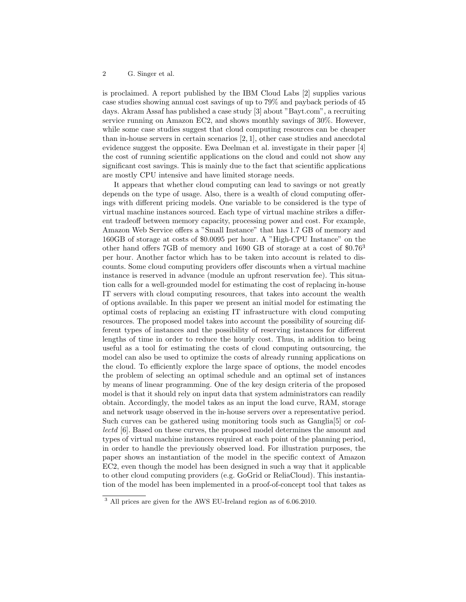is proclaimed. A report published by the IBM Cloud Labs [2] supplies various case studies showing annual cost savings of up to 79% and payback periods of 45 days. Akram Assaf has published a case study [3] about "Bayt.com", a recruiting service running on Amazon EC2, and shows monthly savings of 30%. However, while some case studies suggest that cloud computing resources can be cheaper than in-house servers in certain scenarios [2, 1], other case studies and anecdotal evidence suggest the opposite. Ewa Deelman et al. investigate in their paper [4] the cost of running scientific applications on the cloud and could not show any significant cost savings. This is mainly due to the fact that scientific applications are mostly CPU intensive and have limited storage needs.

It appears that whether cloud computing can lead to savings or not greatly depends on the type of usage. Also, there is a wealth of cloud computing offerings with different pricing models. One variable to be considered is the type of virtual machine instances sourced. Each type of virtual machine strikes a different tradeoff between memory capacity, processing power and cost. For example, Amazon Web Service offers a "Small Instance" that has 1.7 GB of memory and 160GB of storage at costs of \$0.0095 per hour. A "High-CPU Instance" on the other hand offers 7GB of memory and 1690 GB of storage at a cost of \$0.76<sup>3</sup> per hour. Another factor which has to be taken into account is related to discounts. Some cloud computing providers offer discounts when a virtual machine instance is reserved in advance (module an upfront reservation fee). This situation calls for a well-grounded model for estimating the cost of replacing in-house IT servers with cloud computing resources, that takes into account the wealth of options available. In this paper we present an initial model for estimating the optimal costs of replacing an existing IT infrastructure with cloud computing resources. The proposed model takes into account the possibility of sourcing different types of instances and the possibility of reserving instances for different lengths of time in order to reduce the hourly cost. Thus, in addition to being useful as a tool for estimating the costs of cloud computing outsourcing, the model can also be used to optimize the costs of already running applications on the cloud. To efficiently explore the large space of options, the model encodes the problem of selecting an optimal schedule and an optimal set of instances by means of linear programming. One of the key design criteria of the proposed model is that it should rely on input data that system administrators can readily obtain. Accordingly, the model takes as an input the load curve, RAM, storage and network usage observed in the in-house servers over a representative period. Such curves can be gathered using monitoring tools such as Ganglia[5] or collectd [6]. Based on these curves, the proposed model determines the amount and types of virtual machine instances required at each point of the planning period, in order to handle the previously observed load. For illustration purposes, the paper shows an instantiation of the model in the specific context of Amazon EC2, even though the model has been designed in such a way that it applicable to other cloud computing providers (e.g. GoGrid or ReliaCloud). This instantiation of the model has been implemented in a proof-of-concept tool that takes as

 $^3$  All prices are given for the AWS EU-Ireland region as of 6.06.2010.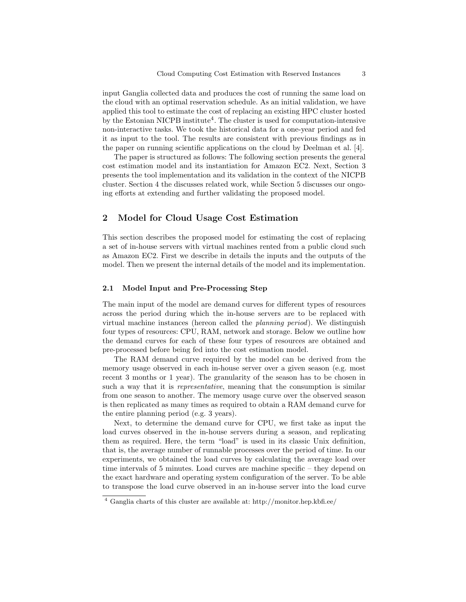input Ganglia collected data and produces the cost of running the same load on the cloud with an optimal reservation schedule. As an initial validation, we have applied this tool to estimate the cost of replacing an existing HPC cluster hosted by the Estonian NICPB institute<sup>4</sup>. The cluster is used for computation-intensive non-interactive tasks. We took the historical data for a one-year period and fed it as input to the tool. The results are consistent with previous findings as in the paper on running scientific applications on the cloud by Deelman et al. [4].

The paper is structured as follows: The following section presents the general cost estimation model and its instantiation for Amazon EC2. Next, Section 3 presents the tool implementation and its validation in the context of the NICPB cluster. Section 4 the discusses related work, while Section 5 discusses our ongoing efforts at extending and further validating the proposed model.

# 2 Model for Cloud Usage Cost Estimation

This section describes the proposed model for estimating the cost of replacing a set of in-house servers with virtual machines rented from a public cloud such as Amazon EC2. First we describe in details the inputs and the outputs of the model. Then we present the internal details of the model and its implementation.

## 2.1 Model Input and Pre-Processing Step

The main input of the model are demand curves for different types of resources across the period during which the in-house servers are to be replaced with virtual machine instances (hereon called the planning period). We distinguish four types of resources: CPU, RAM, network and storage. Below we outline how the demand curves for each of these four types of resources are obtained and pre-processed before being fed into the cost estimation model.

The RAM demand curve required by the model can be derived from the memory usage observed in each in-house server over a given season (e.g. most recent 3 months or 1 year). The granularity of the season has to be chosen in such a way that it is *representative*, meaning that the consumption is similar from one season to another. The memory usage curve over the observed season is then replicated as many times as required to obtain a RAM demand curve for the entire planning period (e.g. 3 years).

Next, to determine the demand curve for CPU, we first take as input the load curves observed in the in-house servers during a season, and replicating them as required. Here, the term "load" is used in its classic Unix definition, that is, the average number of runnable processes over the period of time. In our experiments, we obtained the load curves by calculating the average load over time intervals of 5 minutes. Load curves are machine specific – they depend on the exact hardware and operating system configuration of the server. To be able to transpose the load curve observed in an in-house server into the load curve

<sup>4</sup> Ganglia charts of this cluster are available at: http://monitor.hep.kbfi.ee/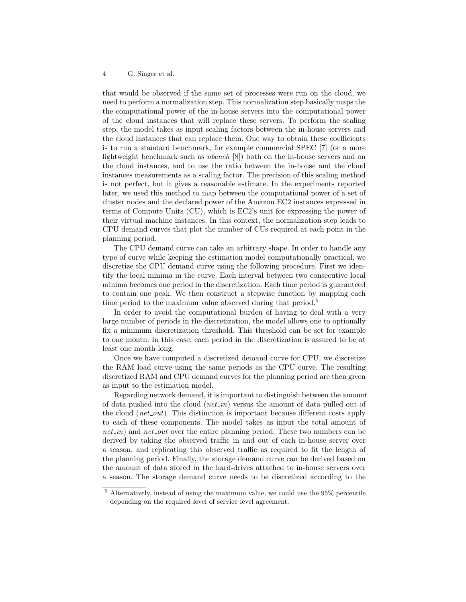that would be observed if the same set of processes were run on the cloud, we need to perform a normalization step. This normalization step basically maps the the computational power of the in-house servers into the computational power of the cloud instances that will replace these servers. To perform the scaling step, the model takes as input scaling factors between the in-house servers and the cloud instances that can replace them. One way to obtain these coefficients is to run a standard benchmark, for example commercial SPEC [7] (or a more lightweight benchmark such as nbench [8]) both on the in-house servers and on the cloud instances, and to use the ratio between the in-house and the cloud instances measurements as a scaling factor. The precision of this scaling method is not perfect, but it gives a reasonable estimate. In the experiments reported later, we used this method to map between the computational power of a set of cluster nodes and the declared power of the Amazon EC2 instances expressed in terms of Compute Units (CU), which is EC2's unit for expressing the power of their virtual machine instances. In this context, the normalization step leads to CPU demand curves that plot the number of CUs required at each point in the planning period.

The CPU demand curve can take an arbitrary shape. In order to handle any type of curve while keeping the estimation model computationally practical, we discretize the CPU demand curve using the following procedure. First we identify the local minima in the curve. Each interval between two consecutive local minima becomes one period in the discretization. Each time period is guaranteed to contain one peak. We then construct a stepwise function by mapping each time period to the maximum value observed during that period.<sup>5</sup>

In order to avoid the computational burden of having to deal with a very large number of periods in the discretization, the model allows one to optionally fix a minimum discretization threshold. This threshold can be set for example to one month. In this case, each period in the discretization is assured to be at least one month long.

Once we have computed a discretized demand curve for CPU, we discretize the RAM load curve using the same periods as the CPU curve. The resulting discretized RAM and CPU demand curves for the planning period are then given as input to the estimation model.

Regarding network demand, it is important to distinguish between the amount of data pushed into the cloud (*net in*) versus the amount of data pulled out of the cloud  $(net_{out})$ . This distinction is important because different costs apply to each of these components. The model takes as input the total amount of  $net \text{ } in$ ) and  $net \text{ } out$  over the entire planning period. These two numbers can be derived by taking the observed traffic in and out of each in-house server over a season, and replicating this observed traffic as required to fit the length of the planning period. Finally, the storage demand curve can be derived based on the amount of data stored in the hard-drives attached to in-house servers over a season. The storage demand curve needs to be discretized according to the

<sup>5</sup> Alternatively, instead of using the maximum value, we could use the 95% percentile depending on the required level of service level agreement.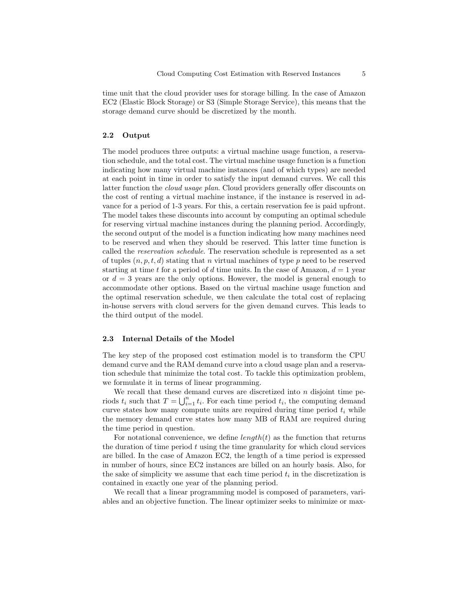time unit that the cloud provider uses for storage billing. In the case of Amazon EC2 (Elastic Block Storage) or S3 (Simple Storage Service), this means that the storage demand curve should be discretized by the month.

#### 2.2 Output

The model produces three outputs: a virtual machine usage function, a reservation schedule, and the total cost. The virtual machine usage function is a function indicating how many virtual machine instances (and of which types) are needed at each point in time in order to satisfy the input demand curves. We call this latter function the cloud usage plan. Cloud providers generally offer discounts on the cost of renting a virtual machine instance, if the instance is reserved in advance for a period of 1-3 years. For this, a certain reservation fee is paid upfront. The model takes these discounts into account by computing an optimal schedule for reserving virtual machine instances during the planning period. Accordingly, the second output of the model is a function indicating how many machines need to be reserved and when they should be reserved. This latter time function is called the reservation schedule. The reservation schedule is represented as a set of tuples  $(n, p, t, d)$  stating that n virtual machines of type p need to be reserved starting at time t for a period of d time units. In the case of Amazon,  $d = 1$  year or  $d = 3$  years are the only options. However, the model is general enough to accommodate other options. Based on the virtual machine usage function and the optimal reservation schedule, we then calculate the total cost of replacing in-house servers with cloud servers for the given demand curves. This leads to the third output of the model.

### 2.3 Internal Details of the Model

The key step of the proposed cost estimation model is to transform the CPU demand curve and the RAM demand curve into a cloud usage plan and a reservation schedule that minimize the total cost. To tackle this optimization problem, we formulate it in terms of linear programming.

We recall that these demand curves are discretized into  $n$  disjoint time periods  $t_i$  such that  $T = \bigcup_{i=1}^n t_i$ . For each time period  $t_i$ , the computing demand curve states how many compute units are required during time period  $t_i$  while the memory demand curve states how many MB of RAM are required during the time period in question.

For notational convenience, we define  $length(t)$  as the function that returns the duration of time period  $t$  using the time granularity for which cloud services are billed. In the case of Amazon EC2, the length of a time period is expressed in number of hours, since EC2 instances are billed on an hourly basis. Also, for the sake of simplicity we assume that each time period  $t_i$  in the discretization is contained in exactly one year of the planning period.

We recall that a linear programming model is composed of parameters, variables and an objective function. The linear optimizer seeks to minimize or max-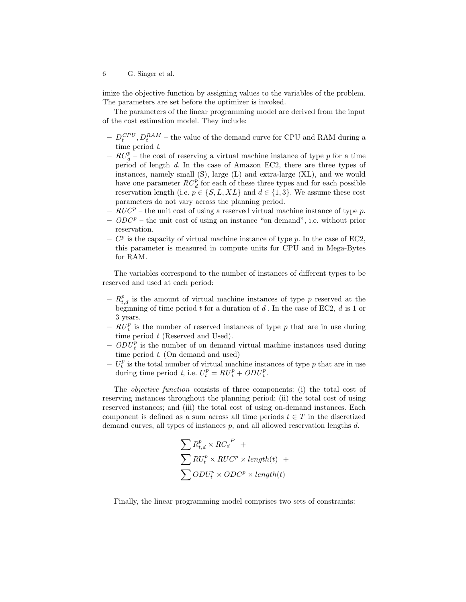imize the objective function by assigning values to the variables of the problem. The parameters are set before the optimizer is invoked.

The parameters of the linear programming model are derived from the input of the cost estimation model. They include:

- $-D_t^{CPU}, D_t^{RAM}$  the value of the demand curve for CPU and RAM during a time period  $t$ .
- $RC_d^p$  the cost of reserving a virtual machine instance of type p for a time period of length d. In the case of Amazon EC2, there are three types of instances, namely small (S), large (L) and extra-large (XL), and we would have one parameter  $RC_d^p$  for each of these three types and for each possible reservation length (i.e.  $p \in \{S, L, XL\}$  and  $d \in \{1, 3\}$ . We assume these cost parameters do not vary across the planning period.
- $RUC^p$  the unit cost of using a reserved virtual machine instance of type p.
- $-$  ODC<sup>p</sup> the unit cost of using an instance "on demand", i.e. without prior reservation.
- $C^p$  is the capacity of virtual machine instance of type p. In the case of EC2, this parameter is measured in compute units for CPU and in Mega-Bytes for RAM.

The variables correspond to the number of instances of different types to be reserved and used at each period:

- $-R_{t,d}^p$  is the amount of virtual machine instances of type p reserved at the beginning of time period  $t$  for a duration of  $d$ . In the case of EC2,  $d$  is 1 or 3 years.
- $RU_t^p$  is the number of reserved instances of type p that are in use during time period  $t$  (Reserved and Used).
- $ODU_t^p$  is the number of on demand virtual machine instances used during time period  $t$ . (On demand and used)
- $U_t^p$  is the total number of virtual machine instances of type p that are in use during time period t, i.e.  $U_t^p = R U_t^p + O D U_t^p$ .

The objective function consists of three components: (i) the total cost of reserving instances throughout the planning period; (ii) the total cost of using reserved instances; and (iii) the total cost of using on-demand instances. Each component is defined as a sum across all time periods  $t \in T$  in the discretized demand curves, all types of instances  $p$ , and all allowed reservation lengths  $d$ .

$$
\sum R_{t,d}^p \times RC_d^P +
$$
  
\n
$$
\sum RU_t^p \times RUC^p \times length(t) +
$$
  
\n
$$
\sum ODU_t^p \times ODC^p \times length(t)
$$

Finally, the linear programming model comprises two sets of constraints: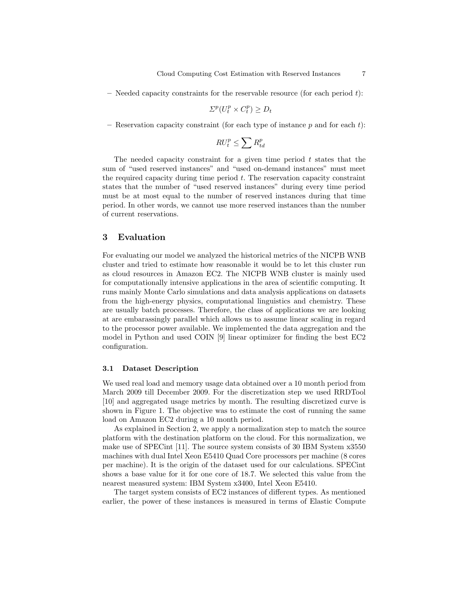$-$  Needed capacity constraints for the reservable resource (for each period  $t$ ):

$$
\Sigma^p(U_t^p \times C_t^p) \ge D_t
$$

– Reservation capacity constraint (for each type of instance  $p$  and for each  $t$ ):

$$
R U^p_t \leq \sum R^p_{td}
$$

The needed capacity constraint for a given time period  $t$  states that the sum of "used reserved instances" and "used on-demand instances" must meet the required capacity during time period  $t$ . The reservation capacity constraint states that the number of "used reserved instances" during every time period must be at most equal to the number of reserved instances during that time period. In other words, we cannot use more reserved instances than the number of current reservations.

# 3 Evaluation

For evaluating our model we analyzed the historical metrics of the NICPB WNB cluster and tried to estimate how reasonable it would be to let this cluster run as cloud resources in Amazon EC2. The NICPB WNB cluster is mainly used for computationally intensive applications in the area of scientific computing. It runs mainly Monte Carlo simulations and data analysis applications on datasets from the high-energy physics, computational linguistics and chemistry. These are usually batch processes. Therefore, the class of applications we are looking at are embarassingly parallel which allows us to assume linear scaling in regard to the processor power available. We implemented the data aggregation and the model in Python and used COIN [9] linear optimizer for finding the best EC2 configuration.

#### 3.1 Dataset Description

We used real load and memory usage data obtained over a 10 month period from March 2009 till December 2009. For the discretization step we used RRDTool [10] and aggregated usage metrics by month. The resulting discretized curve is shown in Figure 1. The objective was to estimate the cost of running the same load on Amazon EC2 during a 10 month period.

As explained in Section 2, we apply a normalization step to match the source platform with the destination platform on the cloud. For this normalization, we make use of SPECint [11]. The source system consists of 30 IBM System x3550 machines with dual Intel Xeon E5410 Quad Core processors per machine (8 cores per machine). It is the origin of the dataset used for our calculations. SPECint shows a base value for it for one core of 18.7. We selected this value from the nearest measured system: IBM System x3400, Intel Xeon E5410.

The target system consists of EC2 instances of different types. As mentioned earlier, the power of these instances is measured in terms of Elastic Compute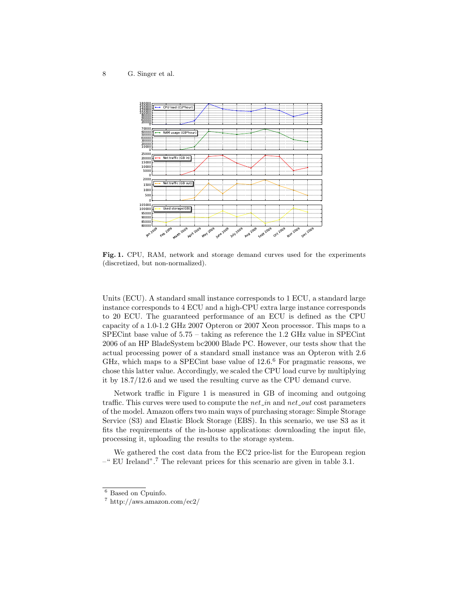

Fig. 1. CPU, RAM, network and storage demand curves used for the experiments (discretized, but non-normalized).

Units (ECU). A standard small instance corresponds to 1 ECU, a standard large instance corresponds to 4 ECU and a high-CPU extra large instance corresponds to 20 ECU. The guaranteed performance of an ECU is defined as the CPU capacity of a 1.0-1.2 GHz 2007 Opteron or 2007 Xeon processor. This maps to a SPECint base value of 5.75 – taking as reference the 1.2 GHz value in SPECint 2006 of an HP BladeSystem bc2000 Blade PC. However, our tests show that the actual processing power of a standard small instance was an Opteron with 2.6 GHz, which maps to a SPECint base value of 12.6.<sup>6</sup> For pragmatic reasons, we chose this latter value. Accordingly, we scaled the CPU load curve by multiplying it by 18.7/12.6 and we used the resulting curve as the CPU demand curve.

Network traffic in Figure 1 is measured in GB of incoming and outgoing traffic. This curves were used to compute the *net in* and *net out* cost parameters of the model. Amazon offers two main ways of purchasing storage: Simple Storage Service (S3) and Elastic Block Storage (EBS). In this scenario, we use S3 as it fits the requirements of the in-house applications: downloading the input file, processing it, uploading the results to the storage system.

We gathered the cost data from the EC2 price-list for the European region  $-$ " EU Ireland".<sup>7</sup> The relevant prices for this scenario are given in table 3.1.

<sup>6</sup> Based on Cpuinfo.

<sup>7</sup> http://aws.amazon.com/ec2/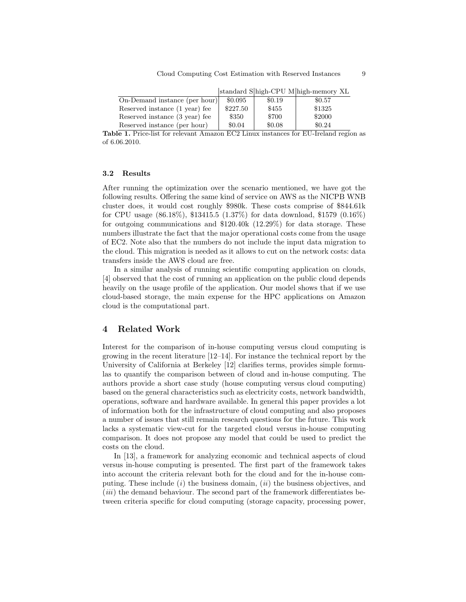|                                |          |        | standard Shigh-CPU Mhigh-memory XL |
|--------------------------------|----------|--------|------------------------------------|
| On-Demand instance (per hour)  | \$0.095  | \$0.19 | \$0.57                             |
| Reserved instance (1 year) fee | \$227.50 | \$455  | \$1325                             |
| Reserved instance (3 year) fee | \$350    | \$700  | \$2000                             |
| Reserved instance (per hour)   | \$0.04   | \$0.08 | \$0.24                             |

Table 1. Price-list for relevant Amazon EC2 Linux instances for EU-Ireland region as of 6.06.2010.

#### 3.2 Results

After running the optimization over the scenario mentioned, we have got the following results. Offering the same kind of service on AWS as the NICPB WNB cluster does, it would cost roughly \$980k. These costs comprise of \$844.61k for CPU usage (86.18%), \$13415.5 (1.37%) for data download, \$1579 (0.16%) for outgoing communications and \$120.40k (12.29%) for data storage. These numbers illustrate the fact that the major operational costs come from the usage of EC2. Note also that the numbers do not include the input data migration to the cloud. This migration is needed as it allows to cut on the network costs: data transfers inside the AWS cloud are free.

In a similar analysis of running scientific computing application on clouds, [4] observed that the cost of running an application on the public cloud depends heavily on the usage profile of the application. Our model shows that if we use cloud-based storage, the main expense for the HPC applications on Amazon cloud is the computational part.

## 4 Related Work

Interest for the comparison of in-house computing versus cloud computing is growing in the recent literature [12–14]. For instance the technical report by the University of California at Berkeley [12] clarifies terms, provides simple formulas to quantify the comparison between of cloud and in-house computing. The authors provide a short case study (house computing versus cloud computing) based on the general characteristics such as electricity costs, network bandwidth, operations, software and hardware available. In general this paper provides a lot of information both for the infrastructure of cloud computing and also proposes a number of issues that still remain research questions for the future. This work lacks a systematic view-cut for the targeted cloud versus in-house computing comparison. It does not propose any model that could be used to predict the costs on the cloud.

In [13], a framework for analyzing economic and technical aspects of cloud versus in-house computing is presented. The first part of the framework takes into account the criteria relevant both for the cloud and for the in-house computing. These include  $(i)$  the business domain,  $(ii)$  the business objectives, and  $(iii)$  the demand behaviour. The second part of the framework differentiates between criteria specific for cloud computing (storage capacity, processing power,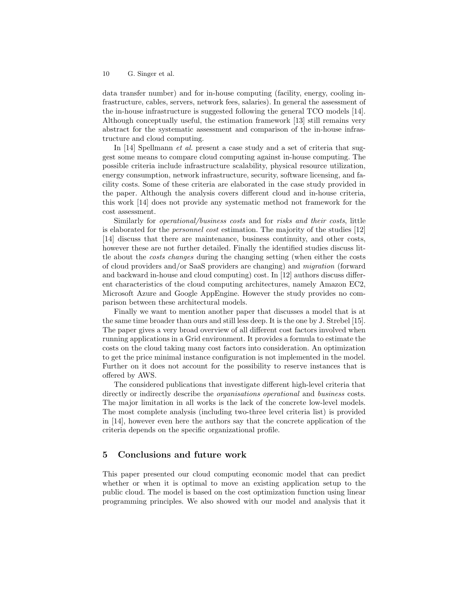data transfer number) and for in-house computing (facility, energy, cooling infrastructure, cables, servers, network fees, salaries). In general the assessment of the in-house infrastructure is suggested following the general TCO models [14]. Although conceptually useful, the estimation framework [13] still remains very abstract for the systematic assessment and comparison of the in-house infrastructure and cloud computing.

In [14] Spellmann *et al.* present a case study and a set of criteria that suggest some means to compare cloud computing against in-house computing. The possible criteria include infrastructure scalability, physical resource utilization, energy consumption, network infrastructure, security, software licensing, and facility costs. Some of these criteria are elaborated in the case study provided in the paper. Although the analysis covers different cloud and in-house criteria, this work [14] does not provide any systematic method not framework for the cost assessment.

Similarly for operational/business costs and for risks and their costs, little is elaborated for the personnel cost estimation. The majority of the studies [12] [14] discuss that there are maintenance, business continuity, and other costs, however these are not further detailed. Finally the identified studies discuss little about the costs changes during the changing setting (when either the costs of cloud providers and/or SaaS providers are changing) and migration (forward and backward in-house and cloud computing) cost. In [12] authors discuss different characteristics of the cloud computing architectures, namely Amazon EC2, Microsoft Azure and Google AppEngine. However the study provides no comparison between these architectural models.

Finally we want to mention another paper that discusses a model that is at the same time broader than ours and still less deep. It is the one by J. Strebel [15]. The paper gives a very broad overview of all different cost factors involved when running applications in a Grid environment. It provides a formula to estimate the costs on the cloud taking many cost factors into consideration. An optimization to get the price minimal instance configuration is not implemented in the model. Further on it does not account for the possibility to reserve instances that is offered by AWS.

The considered publications that investigate different high-level criteria that directly or indirectly describe the *organisations operational* and *business* costs. The major limitation in all works is the lack of the concrete low-level models. The most complete analysis (including two-three level criteria list) is provided in [14], however even here the authors say that the concrete application of the criteria depends on the specific organizational profile.

# 5 Conclusions and future work

This paper presented our cloud computing economic model that can predict whether or when it is optimal to move an existing application setup to the public cloud. The model is based on the cost optimization function using linear programming principles. We also showed with our model and analysis that it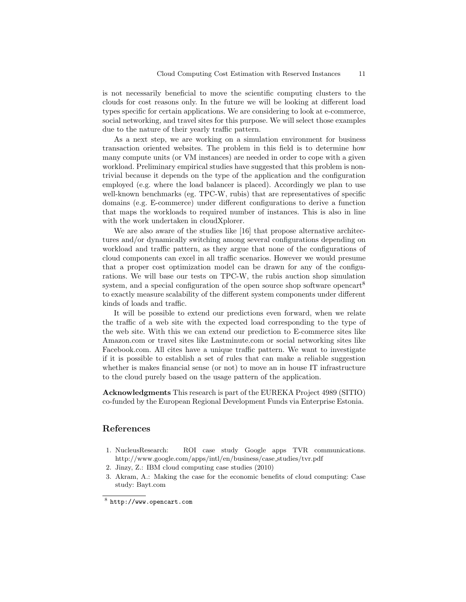is not necessarily beneficial to move the scientific computing clusters to the clouds for cost reasons only. In the future we will be looking at different load types specific for certain applications. We are considering to look at e-commerce, social networking, and travel sites for this purpose. We will select those examples due to the nature of their yearly traffic pattern.

As a next step, we are working on a simulation environment for business transaction oriented websites. The problem in this field is to determine how many compute units (or VM instances) are needed in order to cope with a given workload. Preliminary empirical studies have suggested that this problem is nontrivial because it depends on the type of the application and the configuration employed (e.g. where the load balancer is placed). Accordingly we plan to use well-known benchmarks (eg. TPC-W, rubis) that are representatives of specific domains (e.g. E-commerce) under different configurations to derive a function that maps the workloads to required number of instances. This is also in line with the work undertaken in cloudXplorer.

We are also aware of the studies like [16] that propose alternative architectures and/or dynamically switching among several configurations depending on workload and traffic pattern, as they argue that none of the configurations of cloud components can excel in all traffic scenarios. However we would presume that a proper cost optimization model can be drawn for any of the configurations. We will base our tests on TPC-W, the rubis auction shop simulation system, and a special configuration of the open source shop software opencart<sup>8</sup> to exactly measure scalability of the different system components under different kinds of loads and traffic.

It will be possible to extend our predictions even forward, when we relate the traffic of a web site with the expected load corresponding to the type of the web site. With this we can extend our prediction to E-commerce sites like Amazon.com or travel sites like Lastminute.com or social networking sites like Facebook.com. All cites have a unique traffic pattern. We want to investigate if it is possible to establish a set of rules that can make a reliable suggestion whether is makes financial sense (or not) to move an in house IT infrastructure to the cloud purely based on the usage pattern of the application.

Acknowledgments This research is part of the EUREKA Project 4989 (SITIO) co-funded by the European Regional Development Funds via Enterprise Estonia.

# References

- 1. NucleusResearch: ROI case study Google apps TVR communications. http://www.google.com/apps/intl/en/business/case studies/tvr.pdf
- 2. Jinzy, Z.: IBM cloud computing case studies (2010)
- 3. Akram, A.: Making the case for the economic benefits of cloud computing: Case study: Bayt.com

<sup>8</sup> http://www.opencart.com